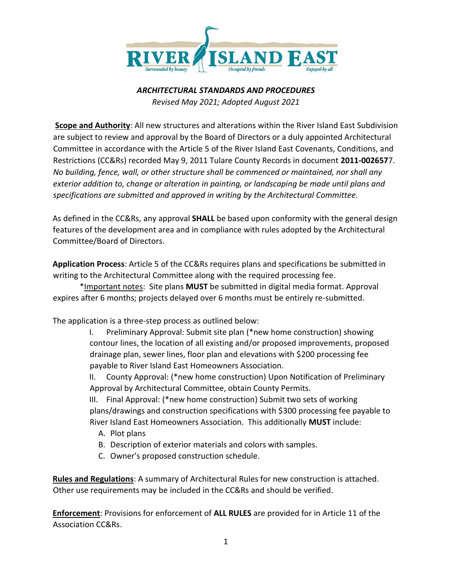

#### *ARCHITECTURAL STANDARDS AND PROCEDURES Revised May 2021; Adopted August 2021*

**Scope and Authority**: All new structures and alterations within the River Island East Subdivision are subject to review and approval by the Board of Directors or a duly appointed Architectural Committee in accordance with the Article 5 of the River Island East Covenants, Conditions, and Restrictions (CC&Rs) recorded May 9, 2011 Tulare County Records in document **2011-002657**7. *No building, fence, wall, or other structure shall be commenced or maintained, nor shall any exterior addition to, change or alteration in painting, or landscaping be made until plans and specifications are submitted and approved in writing by the Architectural Committee.* 

As defined in the CC&Rs, any approval **SHALL** be based upon conformity with the general design features of the development area and in compliance with rules adopted by the Architectural Committee/Board of Directors.

**Application Process**: Article 5 of the CC&Rs requires plans and specifications be submitted in writing to the Architectural Committee along with the required processing fee.

\*Important notes: Site plans **MUST** be submitted in digital media format. Approval expires after 6 months; projects delayed over 6 months must be entirely re-submitted.

The application is a three-step process as outlined below:

I. Preliminary Approval: Submit site plan (\*new home construction) showing contour lines, the location of all existing and/or proposed improvements, proposed drainage plan, sewer lines, floor plan and elevations with \$200 processing fee payable to River Island East Homeowners Association.

II. County Approval: (\*new home construction) Upon Notification of Preliminary Approval by Architectural Committee, obtain County Permits.

III. Final Approval: (\*new home construction) Submit two sets of working plans/drawings and construction specifications with \$300 processing fee payable to River Island East Homeowners Association. This additionally **MUST** include:

- A. Plot plans
- B. Description of exterior materials and colors with samples.
- C. Owner's proposed construction schedule.

**Rules and Regulations**: A summary of Architectural Rules for new construction is attached. Other use requirements may be included in the CC&Rs and should be verified.

**Enforcement**: Provisions for enforcement of **ALL RULES** are provided for in Article 11 of the Association CC&Rs.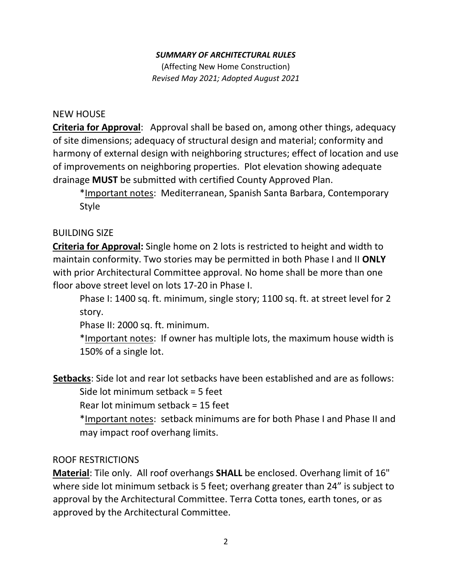#### *SUMMARY OF ARCHITECTURAL RULES*

(Affecting New Home Construction) *Revised May 2021; Adopted August 2021*

#### NEW HOUSE

**Criteria for Approval**: Approval shall be based on, among other things, adequacy of site dimensions; adequacy of structural design and material; conformity and harmony of external design with neighboring structures; effect of location and use of improvements on neighboring properties. Plot elevation showing adequate drainage **MUST** be submitted with certified County Approved Plan.

\*Important notes: Mediterranean, Spanish Santa Barbara, Contemporary Style

## BUILDING SIZE

**Criteria for Approval:** Single home on 2 lots is restricted to height and width to maintain conformity. Two stories may be permitted in both Phase I and II **ONLY** with prior Architectural Committee approval. No home shall be more than one floor above street level on lots 17-20 in Phase I.

Phase I: 1400 sq. ft. minimum, single story; 1100 sq. ft. at street level for 2 story.

Phase II: 2000 sq. ft. minimum.

\*Important notes: If owner has multiple lots, the maximum house width is 150% of a single lot.

**Setbacks**: Side lot and rear lot setbacks have been established and are as follows: Side lot minimum setback = 5 feet

Rear lot minimum setback = 15 feet

\*Important notes: setback minimums are for both Phase I and Phase II and may impact roof overhang limits.

## ROOF RESTRICTIONS

**Material**: Tile only. All roof overhangs **SHALL** be enclosed. Overhang limit of 16" where side lot minimum setback is 5 feet; overhang greater than 24" is subject to approval by the Architectural Committee. Terra Cotta tones, earth tones, or as approved by the Architectural Committee.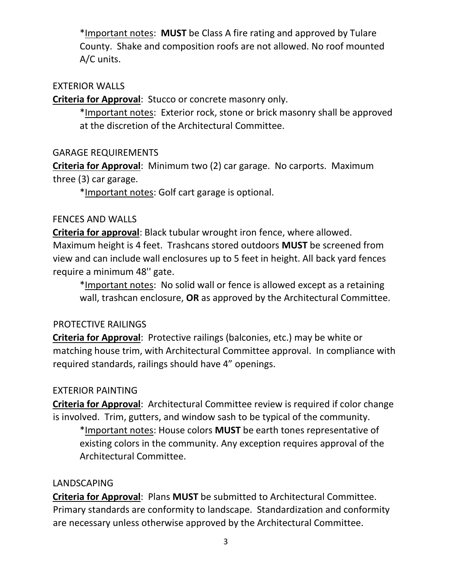\*Important notes: **MUST** be Class A fire rating and approved by Tulare County. Shake and composition roofs are not allowed. No roof mounted A/C units.

#### EXTERIOR WALLS

**Criteria for Approval**: Stucco or concrete masonry only.

\*Important notes: Exterior rock, stone or brick masonry shall be approved at the discretion of the Architectural Committee.

GARAGE REQUIREMENTS

**Criteria for Approval**: Minimum two (2) car garage. No carports. Maximum three (3) car garage.

\*Important notes: Golf cart garage is optional.

#### FENCES AND WALLS

**Criteria for approval**: Black tubular wrought iron fence, where allowed. Maximum height is 4 feet. Trashcans stored outdoors **MUST** be screened from view and can include wall enclosures up to 5 feet in height. All back yard fences require a minimum 48'' gate.

\*Important notes: No solid wall or fence is allowed except as a retaining wall, trashcan enclosure, **OR** as approved by the Architectural Committee.

## PROTECTIVE RAILINGS

**Criteria for Approval**: Protective railings (balconies, etc.) may be white or matching house trim, with Architectural Committee approval. In compliance with required standards, railings should have 4" openings.

## EXTERIOR PAINTING

**Criteria for Approval**: Architectural Committee review is required if color change is involved. Trim, gutters, and window sash to be typical of the community.

\*Important notes: House colors **MUST** be earth tones representative of existing colors in the community. Any exception requires approval of the Architectural Committee.

## LANDSCAPING

**Criteria for Approval**: Plans **MUST** be submitted to Architectural Committee. Primary standards are conformity to landscape. Standardization and conformity are necessary unless otherwise approved by the Architectural Committee.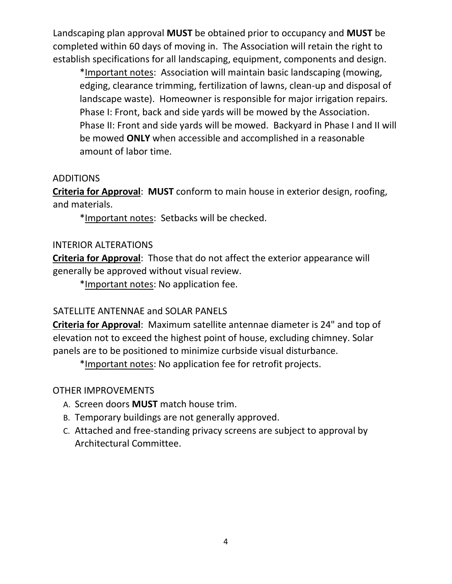Landscaping plan approval **MUST** be obtained prior to occupancy and **MUST** be completed within 60 days of moving in. The Association will retain the right to establish specifications for all landscaping, equipment, components and design.

\*Important notes: Association will maintain basic landscaping (mowing, edging, clearance trimming, fertilization of lawns, clean-up and disposal of landscape waste). Homeowner is responsible for major irrigation repairs. Phase I: Front, back and side yards will be mowed by the Association. Phase II: Front and side yards will be mowed. Backyard in Phase I and II will be mowed **ONLY** when accessible and accomplished in a reasonable amount of labor time.

# ADDITIONS

**Criteria for Approval**: **MUST** conform to main house in exterior design, roofing, and materials.

\*Important notes: Setbacks will be checked.

# INTERIOR ALTERATIONS

**Criteria for Approval**: Those that do not affect the exterior appearance will generally be approved without visual review.

\*Important notes: No application fee.

# SATELLITE ANTENNAE and SOLAR PANELS

**Criteria for Approval**: Maximum satellite antennae diameter is 24" and top of elevation not to exceed the highest point of house, excluding chimney. Solar panels are to be positioned to minimize curbside visual disturbance.

\*Important notes: No application fee for retrofit projects.

# OTHER IMPROVEMENTS

- A. Screen doors **MUST** match house trim.
- B. Temporary buildings are not generally approved.
- C. Attached and free-standing privacy screens are subject to approval by Architectural Committee.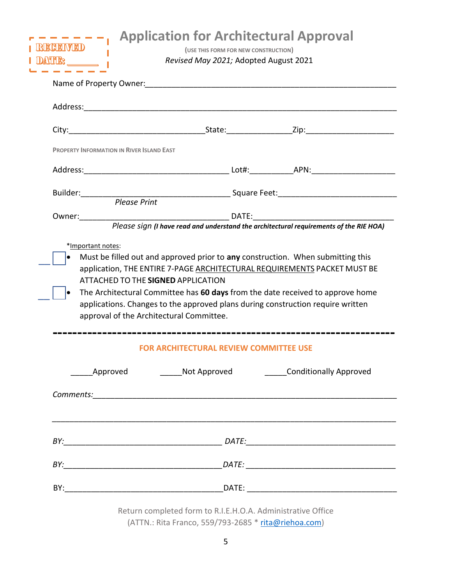| <b>PROPERTY INFORMATION IN RIVER ISLAND EAST</b>                                                                                                                                                                               |                                                                                 |  |
|--------------------------------------------------------------------------------------------------------------------------------------------------------------------------------------------------------------------------------|---------------------------------------------------------------------------------|--|
|                                                                                                                                                                                                                                |                                                                                 |  |
| Builder: Please Print Please Print  Funchine Communication Communication Communication Communication Communication Communication Communication Communication Communication Communication Communication Communication Communica |                                                                                 |  |
|                                                                                                                                                                                                                                |                                                                                 |  |
| approval of the Architectural Committee.                                                                                                                                                                                       | applications. Changes to the approved plans during construction require written |  |
|                                                                                                                                                                                                                                | <b>FOR ARCHITECTURAL REVIEW COMMITTEE USE</b>                                   |  |
|                                                                                                                                                                                                                                |                                                                                 |  |
|                                                                                                                                                                                                                                |                                                                                 |  |
|                                                                                                                                                                                                                                |                                                                                 |  |
|                                                                                                                                                                                                                                |                                                                                 |  |
|                                                                                                                                                                                                                                |                                                                                 |  |

Return completed form to R.I.E.H.O.A. Administrative Office (ATTN.: Rita Franco, 559/793-2685 \* [rita@riehoa.com\)](mailto:rita@riehoa.com)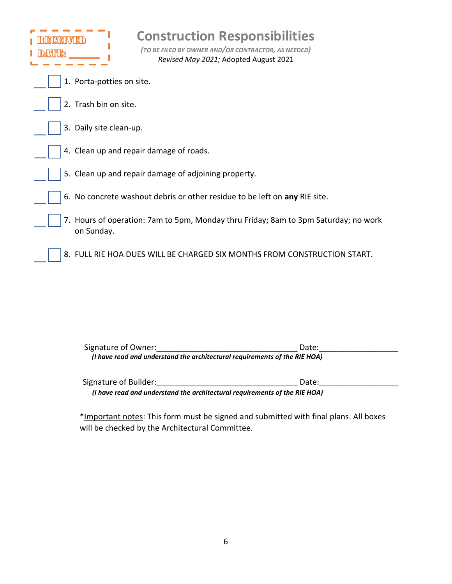| <b>Construction Responsibilities</b><br>(TO BE FILED BY OWNER AND/OR CONTRACTOR, AS NEEDED)<br>Revised May 2021; Adopted August 2021 |
|--------------------------------------------------------------------------------------------------------------------------------------|
| 1. Porta-potties on site.                                                                                                            |
| 2. Trash bin on site.                                                                                                                |
| 3. Daily site clean-up.                                                                                                              |
| 4. Clean up and repair damage of roads.                                                                                              |
| 5. Clean up and repair damage of adjoining property.                                                                                 |
| 6. No concrete washout debris or other residue to be left on any RIE site.                                                           |
| 7. Hours of operation: 7am to 5pm, Monday thru Friday; 8am to 3pm Saturday; no work<br>on Sunday.                                    |
| 8. FULL RIE HOA DUES WILL BE CHARGED SIX MONTHS FROM CONSTRUCTION START.                                                             |

| Signature of Owner:                                                        | Date: |
|----------------------------------------------------------------------------|-------|
| (I have read and understand the architectural requirements of the RIE HOA) |       |
|                                                                            |       |

Signature of Builder:\_\_\_\_\_\_\_\_\_\_\_\_\_\_\_\_\_\_\_\_\_\_\_\_\_\_\_\_\_\_\_\_ Date:\_\_\_\_\_\_\_\_\_\_\_\_\_\_\_\_\_\_ *(I have read and understand the architectural requirements of the RIE HOA)*

\*Important notes: This form must be signed and submitted with final plans. All boxes will be checked by the Architectural Committee.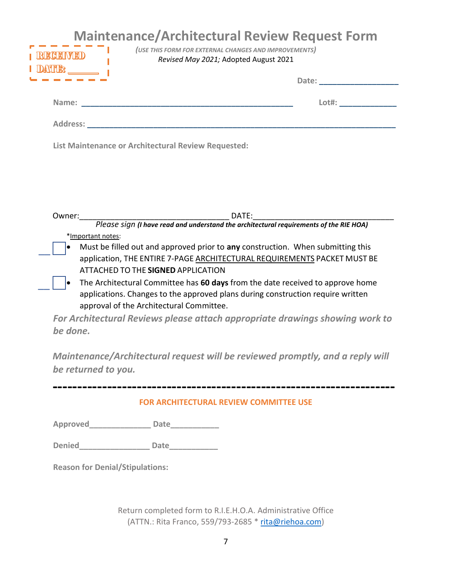| RCEIVED<br><b>ANTIBS</b>                            | <b>Maintenance/Architectural Review Request Form</b><br>(USE THIS FORM FOR EXTERNAL CHANGES AND IMPROVEMENTS)<br>Revised May 2021; Adopted August 2021 |
|-----------------------------------------------------|--------------------------------------------------------------------------------------------------------------------------------------------------------|
|                                                     |                                                                                                                                                        |
|                                                     | Lot#: ______________                                                                                                                                   |
|                                                     |                                                                                                                                                        |
| List Maintenance or Architectural Review Requested: |                                                                                                                                                        |
|                                                     |                                                                                                                                                        |
|                                                     |                                                                                                                                                        |
| Owner:                                              | DATE:                                                                                                                                                  |

\*Important notes: *Please sign (I have read and understand the architectural requirements of the RIE HOA)*

- Must be filled out and approved prior to **any** construction. When submitting this application, THE ENTIRE 7-PAGE ARCHITECTURAL REQUIREMENTS PACKET MUST BE ATTACHED TO THE **SIGNED** APPLICATION
	- The Architectural Committee has **60 days** from the date received to approve home applications. Changes to the approved plans during construction require written approval of the Architectural Committee.

*For Architectural Reviews please attach appropriate drawings showing work to be done.* 

*Maintenance/Architectural request will be reviewed promptly, and a reply will be returned to you.* 

**FOR ARCHITECTURAL REVIEW COMMITTEE USE**

**---------------------------------------------------------------------**

**Approved\_\_\_\_\_\_\_\_\_\_\_\_\_\_ Date\_\_\_\_\_\_\_\_\_\_\_** 

**Denied\_\_\_\_\_\_\_\_\_\_\_\_\_\_\_\_ Date\_\_\_\_\_\_\_\_\_\_\_** 

**Reason for Denial/Stipulations:** 

 $\overline{\phantom{a}}$ 

 $\overline{a}$ 

Return completed form to R.I.E.H.O.A. Administrative Office (ATTN.: Rita Franco, 559/793-2685 \* [rita@riehoa.com\)](mailto:rita@riehoa.com)